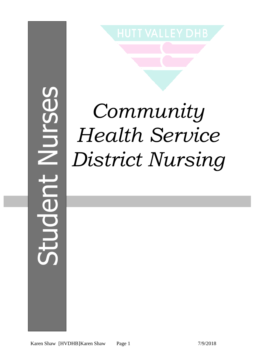# Student NursesNUISE JODU

## *Community Health Service District Nursing*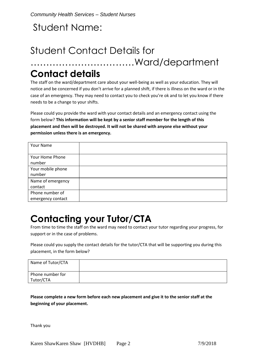#### Student Name:

#### Student Contact Details for ……………………………Ward/department

#### **Contact details**

The staff on the ward/department care about your well-being as well as your education. They will notice and be concerned if you don't arrive for a planned shift, if there is illness on the ward or in the case of an emergency. They may need to contact you to check you're ok and to let you know if there needs to be a change to your shifts.

Please could you provide the ward with your contact details and an emergency contact using the form below? **This information will be kept by a senior staff member for the length of this placement and then will be destroyed. It will not be shared with anyone else without your permission unless there is an emergency.**

| Your Name         |  |
|-------------------|--|
|                   |  |
| Your Home Phone   |  |
| number            |  |
| Your mobile phone |  |
| number            |  |
| Name of emergency |  |
| contact           |  |
| Phone number of   |  |
| emergency contact |  |

#### **Contacting your Tutor/CTA**

From time to time the staff on the ward may need to contact your tutor regarding your progress, for support or in the case of problems.

Please could you supply the contact details for the tutor/CTA that will be supporting you during this placement, in the form below?

| Name of Tutor/CTA             |  |
|-------------------------------|--|
| Phone number for<br>Tutor/CTA |  |

**Please complete a new form before each new placement and give it to the senior staff at the beginning of your placement.**

Thank you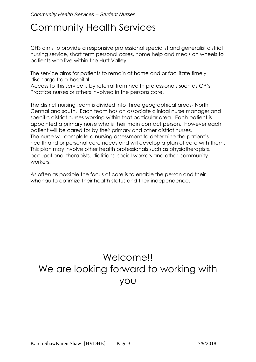#### Community Health Services

CHS aims to provide a responsive professional specialist and generalist district nursing service, short term personal cares, home help and meals on wheels to patients who live within the Hutt Valley.

The service aims for patients to remain at home and or facilitate timely discharge from hospital.

Access to this service is by referral from health professionals such as GP's Practice nurses or others involved in the persons care.

The district nursing team is divided into three geographical areas- North Central and south. Each team has an associate clinical nurse manager and specific district nurses working within that particular area. Each patient is appointed a primary nurse who is their main contact person. However each patient will be cared for by their primary and other district nurses. The nurse will complete a nursing assessment to determine the patient's health and or personal care needs and will develop a plan of care with them. This plan may involve other health professionals such as physiotherapists, occupational therapists, dietitians, social workers and other community workers.

As often as possible the focus of care is to enable the person and their whanau to optimize their health status and their independence.

#### Welcome!! We are looking forward to working with you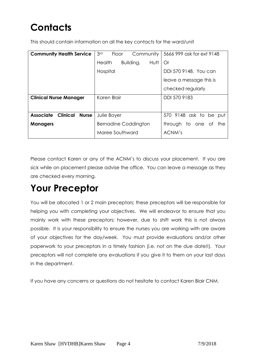### **Contacts**

This should contain information on all the key contacts for the ward/unit

| <b>Community Health Service</b>                     | 3 <sup>rd</sup><br>Community<br>Floor | 5666 999 ask for ext 9148 |  |  |
|-----------------------------------------------------|---------------------------------------|---------------------------|--|--|
|                                                     | <b>Health</b><br>Building,<br>Hutt    | Or                        |  |  |
|                                                     | Hospital                              | DDI 570 9148. You can     |  |  |
|                                                     |                                       | leave a message this is   |  |  |
|                                                     |                                       | checked regularly         |  |  |
| <b>Clinical Nurse Manager</b>                       | Karen Blair                           | DDI 570 9183              |  |  |
|                                                     |                                       |                           |  |  |
| <b>Associate</b><br><b>Clinical</b><br><b>Nurse</b> | Julie Boyer                           | 570 9148 ask to be put    |  |  |
| <b>Managers</b>                                     | <b>Bernadine Coddington</b>           | through to one of<br>the  |  |  |
|                                                     | Maree Southward                       | ACNM's                    |  |  |

Please contact Karen or any of the ACNM's to discuss your placement. If you are sick while on placement please advise the office. You can leave a message as they are checked every morning.

#### **Your Preceptor**

You will be allocated 1 or 2 main preceptors; these preceptors will be responsible for helping you with completing your objectives. We will endeavor to ensure that you mainly work with these preceptors; however, due to shift work this is not always possible. It is your responsibility to ensure the nurses you are working with are aware of your objectives for the day/week. You must provide evaluations and/or other paperwork to your preceptors in a timely fashion (i.e. not on the due date!!). Your preceptors will not complete any evaluations if you give it to them on your last days in the department.

If you have any concerns or questions do not hesitate to contact Karen Blair CNM.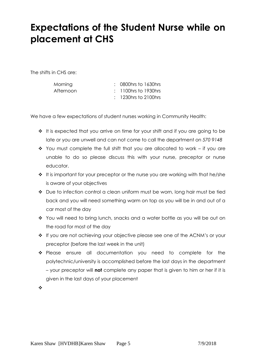#### **Expectations of the Student Nurse while on placement at CHS**

The shifts in CHS are:

| Morning   | $\therefore$ 0800 hrs to 1630 hrs |
|-----------|-----------------------------------|
| Afternoon | $: 1100$ hrs to 1930hrs           |
|           | $\div$ 1230 hrs to 2100 hrs       |

We have a few expectations of student nurses working in Community Health:

- $\cdot \cdot$  It is expected that you arrive on time for your shift and if you are going to be late or you are unwell and can not come to call the department on *570 9148*
- $\div$  You must complete the full shift that you are allocated to work if you are unable to do so please discuss this with your nurse, preceptor or nurse educator.
- $\cdot \cdot$  It is important for your preceptor or the nurse you are working with that he/she is aware of your objectives
- ◆ Due to infection control a clean uniform must be worn, long hair must be tied back and you will need something warm on top as you will be in and out of a car most of the day
- You will need to bring lunch, snacks and a water bottle as you will be out on the road for most of the day
- If you are not achieving your objective please see one of the ACNM's or your preceptor (before the last week in the unit)
- \* Please ensure all documentation you need to complete for the polytechnic/university is accomplished before the last days in the department – your preceptor will **not** complete any paper that is given to him or her if it is given in the last days of your placement

 $\frac{1}{2}$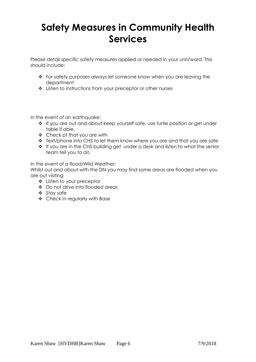#### **Safety Measures in Community Health Services**

Please detail specific safety measures applied or needed in your unit/ward. This should include:

- For safety purposes always let someone know when you are leaving the department
- Listen to instructions from your preceptor or other nurses

In the event of an earthquake:

- If you are out and about keep yourself safe, use turtle position or get under table if able.
- Check pt that you are with
- Text/phone into CHS to let them know where you are and that you are safe
- If you are in the CHS building get under a desk and listen to what the senior team tell you to do

In the event of a flood/Wild Weather:

Whilst out and about with the DN you may find some areas are flooded when you are out visiting

- Listen to your preceptor
- Do not drive into flooded areas
- ❖ Stay safe
- Check in regularly with Base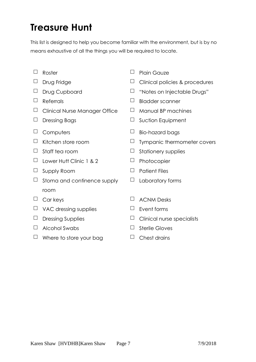#### **Treasure Hunt**

This list is designed to help you become familiar with the environment, but is by no means exhaustive of all the things you will be required to locate.

- 
- 
- 
- 
- $\Box$  Clinical Nurse Manager Office  $\Box$  Manual BP machines
- 
- 
- 
- 
- $\Box$  Lower Hutt Clinic 1 & 2  $\Box$  Photocopier
- $\Box$  Supply Room  $\Box$  Patient Files
- $\Box$  Stoma and continence supply room
- 
- $\Box$  VAC dressing supplies  $\Box$  Event forms
- 
- $\Box$  Alcohol Swabs  $\Box$  Sterile Gloves
- $\Box$  Where to store your bag  $\Box$  Chest drains
- $\Box$  Roster  $\Box$  Plain Gauze
- Drug Fridge Clinical policies & procedures
- □ Drug Cupboard □ "Notes on Injectable Drugs"
- $\Box$  Referrals  $\Box$  Bladder scanner
	-
- $\Box$  Dressing Bags  $\Box$  Suction Equipment
- $\Box$  Computers  $\Box$  Bio-hazard bags
- $\Box$  Kitchen store room  $\Box$  Tympanic thermometer covers
- $\Box$  Staff tea room  $\Box$  Stationery supplies
	-
	-
	- $\Box$  Laboratory forms
- $\Box$  Car keys  $\Box$  ACNM Desks
	-
- $\Box$  Dressing Supplies  $\Box$  Clinical nurse specialists
	-
	-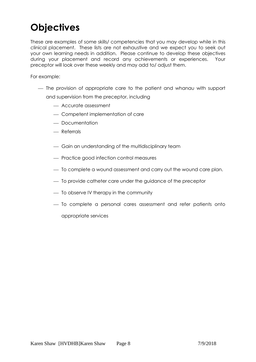#### **Objectives**

These are examples of some skills/ competencies that you may develop while in this clinical placement. These lists are not exhaustive and we expect you to seek out your own learning needs in addition. Please continue to develop these objectives during your placement and record any achievements or experiences. Your preceptor will look over these weekly and may add to/ adjust them.

For example:

- The provision of appropriate care to the patient and whanau with support and supervision from the preceptor, including
	- Accurate assessment
	- Competent implementation of care
	- Documentation
	- Referrals
	- Gain an understanding of the multidisciplinary team
	- Practice good infection control measures
	- $-$  To complete a wound assessment and carry out the wound care plan.
	- $-$  To provide catheter care under the guidance of the preceptor
	- $-$  To observe IV therapy in the community
	- To complete a personal cares assessment and refer patients onto

appropriate services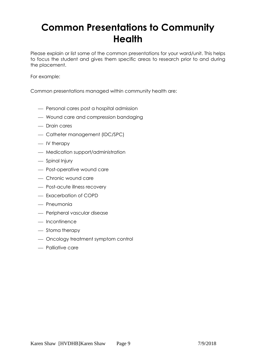#### **Common Presentations to Community Health**

Please explain or list some of the common presentations for your ward/unit. This helps to focus the student and gives them specific areas to research prior to and during the placement.

For example:

Common presentations managed within community health are:

- Personal cares post a hospital admission
- Wound care and compression bandaging
- Drain cares
- Catheter management (IDC/SPC)
- $-$  IV therapy
- Medication support/administration
- Spinal Injury
- Post-operative wound care
- Chronic wound care
- Post-acute illness recovery
- Exacerbation of COPD
- $-$  Pneumonia
- Peripheral vascular disease
- $-$  Incontinence
- Stoma therapy
- Oncology treatment symptom control
- Palliative care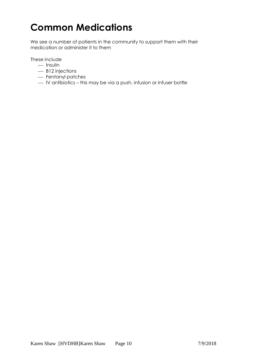#### **Common Medications**

We see a number of patients in the community to support them with their medication or administer it to them

These include

- $-$  Insulin
- B12 injections
- Fentanyl patches
- IV antibiotics this may be via a push, infusion or infuser bottle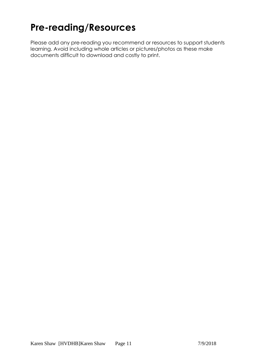#### **Pre-reading/Resources**

Please add any pre-reading you recommend or resources to support students learning. Avoid including whole articles or pictures/photos as these make documents difficult to download and costly to print.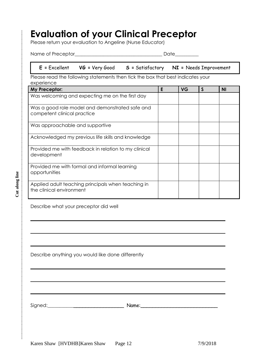#### **Evaluation of your Clinical Preceptor**

Please return your evaluation to Angeline (Nurse Educator)

Name of Preceptor\_\_\_\_\_\_\_\_\_\_\_\_\_\_\_\_\_\_\_\_\_\_\_\_\_\_\_\_\_\_\_\_\_\_\_\_\_ Date\_\_\_\_\_\_\_\_\_\_

#### **E =** Excellent **VG =** Very Good **S =** Satisfactory **NI =** Needs Improvement

Please read the following statements then tick the box that best indicates your experience

| My Preceptor:                                                                  | E | <b>VG</b> | <sub>S</sub> | ΝI |
|--------------------------------------------------------------------------------|---|-----------|--------------|----|
| Was welcoming and expecting me on the first day                                |   |           |              |    |
| Was a good role model and demonstrated safe and<br>competent clinical practice |   |           |              |    |
| Was approachable and supportive                                                |   |           |              |    |
| Acknowledged my previous life skills and knowledge                             |   |           |              |    |
| Provided me with feedback in relation to my clinical<br>development            |   |           |              |    |
| Provided me with formal and informal learning<br>opportunities                 |   |           |              |    |
| Applied adult teaching principals when teaching in<br>the clinical environment |   |           |              |    |

Describe what your preceptor did well

Describe anything you would like done differently

Signed:\_\_\_\_\_\_\_\_\_\_\_\_\_\_\_\_\_\_\_\_\_\_\_\_\_\_\_\_ Name:\_\_\_\_\_\_\_\_\_\_\_\_\_\_\_\_\_\_\_\_\_\_\_\_\_\_